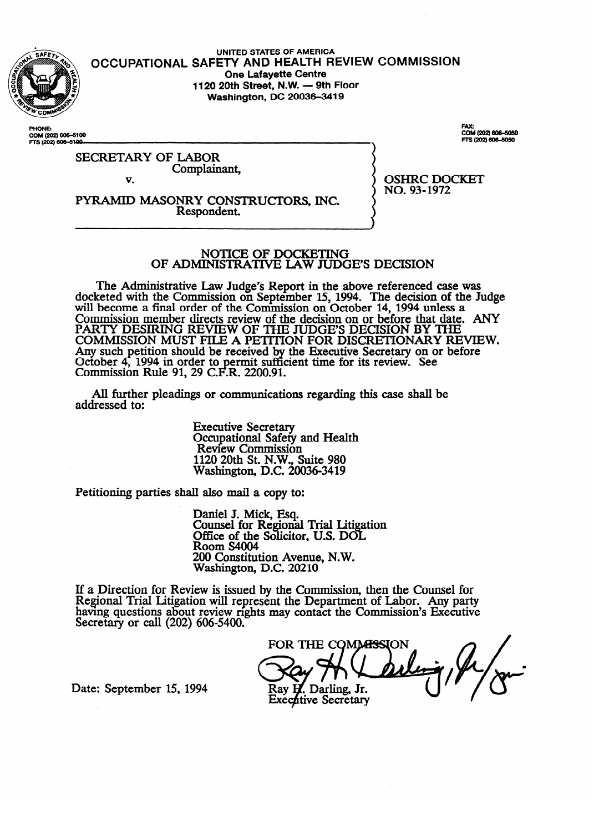

**OCCUPATIONAL UNITED STATES OF AMERICA SAFETY AND HEALTH REVIEW COMMISSION One Lafayette Centre**<br>**1120 20th Street, N.W. — 9th Floor 1120 20th Street, N.W. - 9th Floor Washington, DC 20036-3419** 

PHONE: **PHONE COM (202) 6066100**  FAX:<br>COM (202) 606–5050<br>FTS (202) 606–5050

SECRETARY OF LABOR Complainant,  $\mathbf{v}$ 

v. PYRAMID MASONRY CONSTRUCTORS, INC.<br>Respondent. Respondent.

OSHRC DOCKET  $\frac{1}{2}$ 

# NOTICE OF DOCKETING<br>OF ADMINISTRATIVE LAW JUDGE'S DECISION

The Administrative Law Judge's Report in the above referenced case was  $\frac{1}{2}$  and  $\frac{1}{2}$  are Lemminston on September 15, 1994. The decision of the Ju will become a final order of the Commission on October 14, 1994 unless a  $\epsilon$ Commission member directs review of the decision on or before that date.<br>DARITY DESIDALE REVIEW OF THE HEODIC DECISION BY THE PARTY DESIRING REVIEW OF THE JUDGE'S DECISION BY THE COMMISSION OF THE DECISION OF THE DECISION OF DEVICES. COMMISSION MUST FILE A PETITION FOR DISCRETIONARY RE Any such peution should be received by the Executive Secretary on or before<br>October 4, 1004 in order to permit sufficient time for its review. See October 4, 1994 in order to permit sum<br>Commission Rule 01 20 C E R 2200.01 **COMMISSION KWE 91, 29 C.F.K. 2200.9** the Executive Secretary Secretary on the Executive Secretary of the Secretary of the Secretary of the Secretary of Secretary of the Secretary of the Secretary of the Secretary of the Secretary of the Secretary of the Secre cient time for its review. See the form of the form of the form of the form of the form of the form of the for<br>See the form of the form of the form of the form of the form of the form of the form of the form of the form o

All further pleadings or communications regarding this case shall be  $A$  further pleading or communications regarding the communications regarding the case shall be shall be shall be shall be shall be shall be shall be shall be shall be shall be shall be shall be shall be shall be shall be

> **Executive Secretary** Occupational Safety and Health<br>Review Commission  $1120$  20th St. N.W. Suite 980 Research St. N.C. 200 1120 20th St. N.W., Suite 980

Petitioning parties shall also mail a copy to:

Daniel J. Mick, Esq.<br>Counsel for Regional Trial Litigation Office of the Solicitor, U.S. DOL Room S4004 200 Constitution Avenue, N.W. Washington, D.C. 20210

 $\overline{\phantom{a}}$  $ew$  is issued by the Com having questions about review rights may contact the Commission's Executive Secretary or call (202) 606-5400.

FOR THE COMMISSION Ray H. Darling, Jr. **Executive Secretary** 

Date: September 15, 1994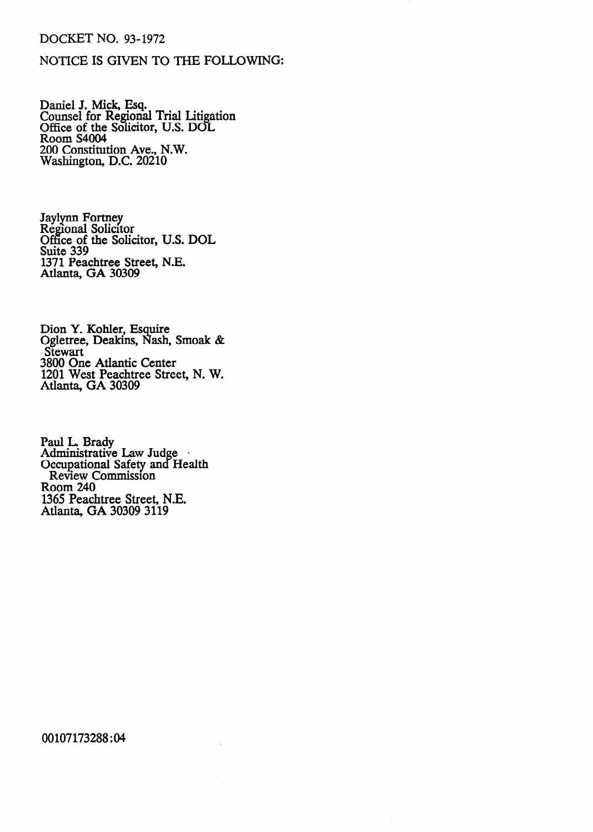#### **DOCKET NO. 93-1972**

## **NOTICE IS GIVEN TO THE FOLLOWING:**

Daniel J. Mick, Esq. Counsel for Regional Trial Litigation Office of the Solicitor, U.S. DOL Room S4004 200 Constitution Ave., N.W. Washington, D.C. 20210

Jaylynn Fortney Regional Solicitor Office of the Solicitor, U.S. DOL Suite 339 1371 Peachtree Street, N.E. Atlanta, GA 30309

Dion Y. Kohler, Esquire Ogletree, Deakins, Nash, Smoak & **Stewart** 3800 One Atlantic Center 1201 West Peachtree Street, N. W. Atlanta, GA 30309

Paul L. Brady Administrative Law Judge · Occupational Safety and Health Review Commission Room 240 1365 Peachtree Street, N.E. Atlanta, GA 30309 3119

00107173288:04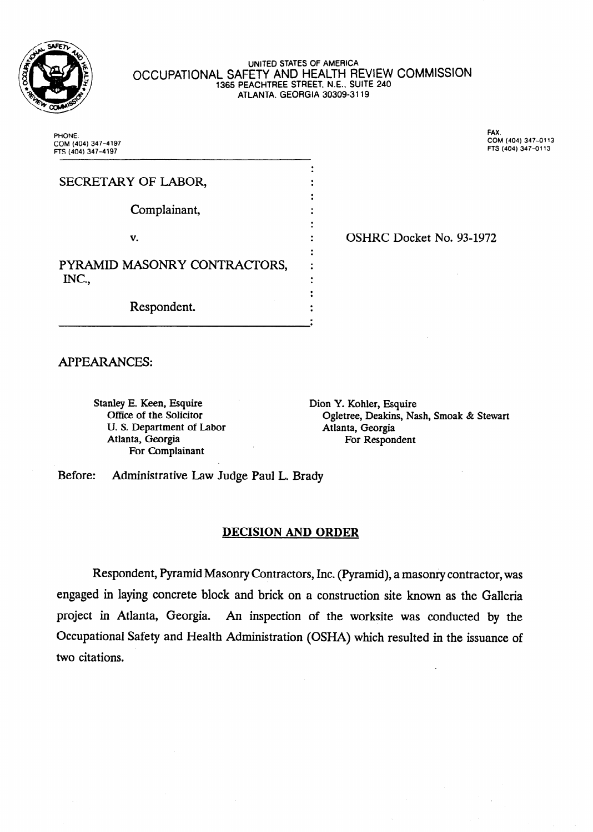

#### **UNITED STATES OF AMERICA**  OCCUPATIONAL SAFETY AND HEALTH REVIEW COMMISSION **1365 PEACHTREE STREET, N.E., SUITE 240 ATLANTA, GEORGIA 30309-3 119**

. .

**PHONE: COM (404) 347-4197 FTS (404) 347-4197**  **FAX. COM (404) 347-0113 FTS (404) 347-0113** 

| SECRETARY OF LABOR,                   |  |
|---------------------------------------|--|
|                                       |  |
| Complainant,                          |  |
|                                       |  |
| V.                                    |  |
| PYRAMID MASONRY CONTRACTORS,<br>INC., |  |
|                                       |  |
|                                       |  |
|                                       |  |
| Respondent.                           |  |
|                                       |  |

**2 • OSHRC Docket No. 93-1972** 

APPEARANCES:

Stanley E. Keen, Esquire Dion Y. Kohler, Esquire U. S. Department of Labor **Atlanta**, Georgia<br>Atlanta, Georgia **Atlanta**, Georgia For Complainant

Office of the Solicitor Ogletree, Deakins, Nash, Smoak & Stewart For Respondent

Before: Administrative Law Judge Paul L. Brady

#### **DECISION AND ORDER**

Respondent, Pyramid Masonry Contractors, Inc. (Pyramid), a masonry contractor, was engaged in laying concrete block and brick on a construction site known as the Galleria project in Atlanta, Georgia. An inspection of the worksite was conducted by the Occupational Safety and Health Administration (OSHA) which resulted in the issuance of two citations.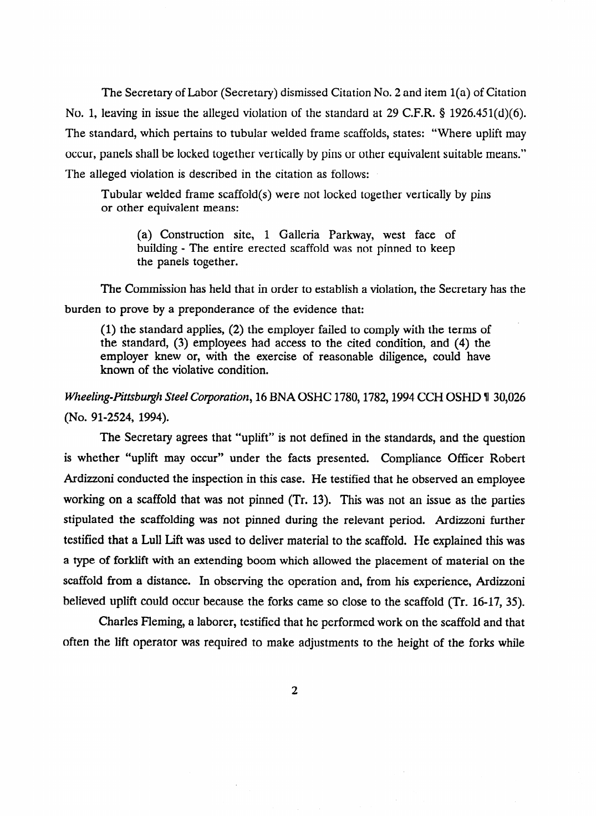The Secretary of Labor (Secretary) dismissed Citation No. 2 and item l(a) of Citation No. 1, leaving in issue the alleged violation of the standard at 29 C.F.R. § 1926.451(d)(6). The standard, which pertains to tubular welded frame scaffolds, states: "Where uplift may occur, panels shall be locked together vertically by pins or other equivalent suitable means." The alleged violation is described in the citation as follows:

Tubular welded frame scaffold(s) were not locked together vertically by pins or other equivalent means:

(a) Construction site, 1 Galleria Parkway, west face of building - The entire erected scaffold was not pinned to keep the panels together.

The Commission has held that in order to establish a violation, the Secretary has the burden to prove by a preponderance of the evidence that:

(1) the standard applies, (2) the employer failed to comply with the terms of the standard, (3) employees had access to the cited condition, and (4) the the standard, (3) employees had access to the cited condition, and (4) the employer know or, with the exercise of reasonable diligence, could have known of the violative condition.

# *Wheeling-Pittsburgh Steel Corporation, 16 BNA OSHC 1780, 1782, 1994 CCH OSHD \\ 30,026* (No. 91-2524, 1994).

The Secretary agrees that "uplift" is not defined in the standards, and the question is whether "uplift may occur" under the facts presented. Compliance Officer Robert Ardizzoni conducted the inspection in this case. He testified that he observed an employee working on a scaffold that was not pinned (Tr. 13). This was not an issue as the parties stipulated the scaffolding was not pinned during the relevant period. Ardizzoni further testified that a Lull Lift was used to deliver material to the scaffold. He explained this was a type of forklift with an extending boom which allowed the placement of material on the scaffold from a distance. In observing the operation and, from his experience, Ardizzoni believed uplift could occur because the forks came so close to the scaffold (Tr. 16-17, 35).

Charles Fleming, a laborer, testified that he performed work on the scaffold and that often the lift operator was required to make adjustments to the height of the forks while

often the lift operator was required to the height of the forks while the forks while  $\eta$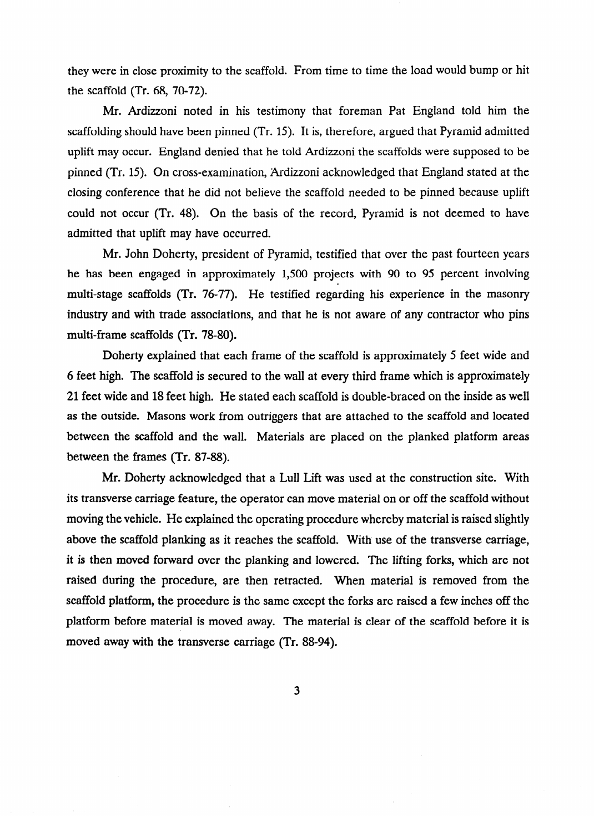they were in close proximity to the scaffold. From time to time the load would bump or hit the scaffold (Tr. 68, 70-72).

Mr. Ardizzoni noted in his testimony that foreman Pat England told him the scaffolding should have been pinned (Tr. 15). It is, therefore, argued that Pyramid admitted uplift may occur. England denied that he told Ardizzoni the scaffolds were supposed to be pinned (Tr. 15). On cross-examination, Ardizzoni acknowledged that England stated at the closing conference that he did not believe the scaffold needed to be pinned because uplift could not occur (Tr. 48). On the basis of the record, Pyramid is not deemed to have admitted that uplift may have occurred.

Mr. John Doherty, president of Pyramid, testified that over the past fourteen years he has been engaged in approximately 1,500 projects with 90 to 95 percent involving multi-stage scaffolds (Tr. 76-77). He testified regarding his experience in the masonry industry and with trade associations, and that he is not aware of any contractor who pins multi-frame scaffolds (Tr. 78-80).

Doherty explained that each frame of the scaffold is approximately 5 feet wide and 6 feet high. The scaffold is secured to the wall at every third frame which is approximately 21 feet wide and 18 feet high. He stated each scaffold is double-braced on the inside as well as the outside. Masons work from outriggers that are attached to the scaffold and located between the scaffold and the wall. Materials are placed on the planked platform areas between the frames (Tr. 87-88).

Mr. Doherty acknowledged that a Lull Lift was used at the construction site. With its transverse carriage feature, the operator can move material on or off the scaffold without moving the vehicle. He explained the operating procedure whereby material is raised slightly above the scaffold planking as it reaches the scaffold. With use of the transverse carriage, it is then moved forward over the planking and lowered. The lifting forks, which are not raised during the procedure, are then retracted. When material is removed from the scaffold platform, the procedure is the same except the forks are raised a few inches off the platform before material is moved away. The material is clear of the scaffold before it is moved away with the transverse carriage (Tr. 88-94).

 $\overline{3}$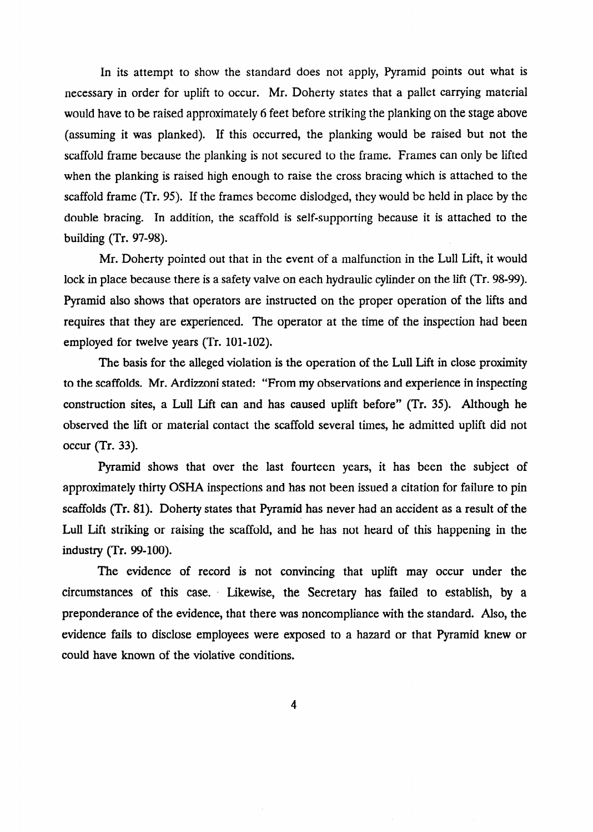In its attempt to show the standard does not apply, Pyramid points out what is necessary in order for uplift to occur. Mr. Doherty states that a pallet carrying material would have to be raised approximately 6 feet before striking the planking on the stage above (assuming it was planked). If this occurred, the planking would be raised but not the scaffold frame because the planking is not secured to the frame. Frames can only be lifted when the planking is raised high enough to raise the cross bracing which is attached to the scaffold frame (Tr. 95). If the frames become dislodged, they would be held in place by the double bracing. In addition, the scaffold is self-supporting because it is attached to the building (Tr. 97-98).

Mr. Doherty pointed out that in the event of a malfunction in the Lull Lift, it would lock in place because there is a safety valve on each hydraulic cylinder on the lift (Tr. 98-99). Pyramid also shows that operators are instructed on the proper operation of the lifts and requires that they are experienced. The operator at the time of the inspection had been employed for twelve years (Tr. 101-102).

The basis for the alleged violation is the operation of the Lull Lift in close proximity to the scaffolds. Mr. Ardizzoni stated: "From my observations and experience in inspecting construction sites, a Lull Lift can and has caused uplift before" (Tr. 35). Although he observed the lift or material contact the scaffold several times, he admitted uplift did not occur (Tr. 33).

Pyramid shows that over the last fourteen years, it has been the subject of approximately thirty OSHA inspections and has not been issued a citation for failure to pin scaffolds (Tr. 81). Doherty states that Pyramid has never had an accident as a result of the Lull Lift striking or raising the scaffold, and he has not heard of this happening in the industry (Tr. 99-100).

The evidence of record is not convincing that uplift may occur under the circumstances of this case. . Likewise, the Secretary has failed to establish, by a preponderance of the evidence, that there was noncompliance with the standard. Also, the evidence fails to disclose employees were exposed to a hazard or that Pyramid knew or could have known of the violative conditions.

 $\overline{\mathbf{4}}$